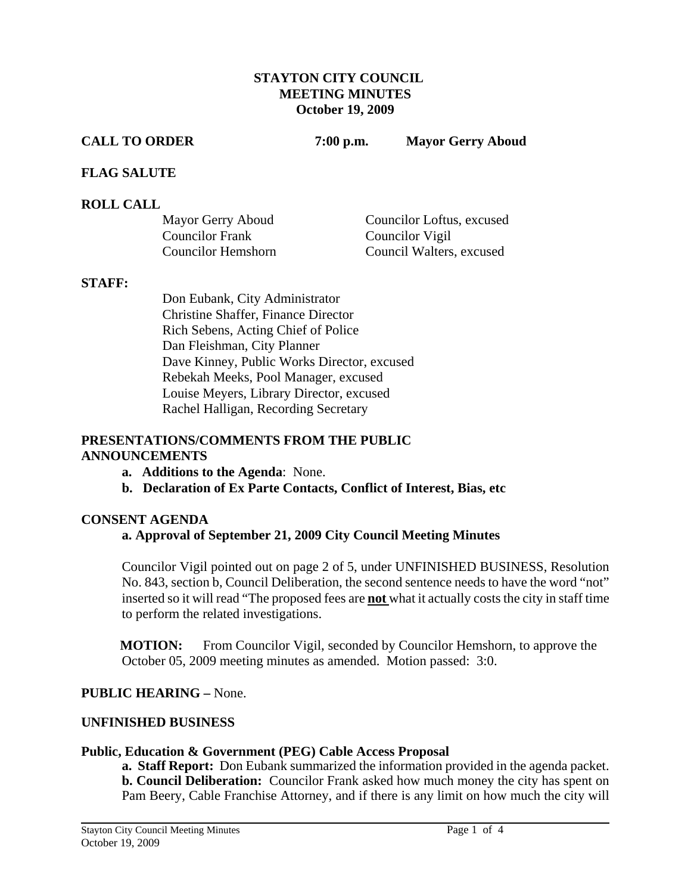#### **STAYTON CITY COUNCIL MEETING MINUTES October 19, 2009**

**CALL TO ORDER 7:00 p.m. Mayor Gerry Aboud** 

#### **FLAG SALUTE**

#### **ROLL CALL**

| Mayor Gerry Aboud         | Councilor Loftus, excused |
|---------------------------|---------------------------|
| <b>Councilor Frank</b>    | Councilor Vigil           |
| <b>Councilor Hemshorn</b> | Council Walters, excused  |

#### **STAFF:**

Don Eubank, City Administrator Christine Shaffer, Finance Director Rich Sebens, Acting Chief of Police Dan Fleishman, City Planner Dave Kinney, Public Works Director, excused Rebekah Meeks, Pool Manager, excused Louise Meyers, Library Director, excused Rachel Halligan, Recording Secretary

#### **PRESENTATIONS/COMMENTS FROM THE PUBLIC ANNOUNCEMENTS**

- **a. Additions to the Agenda**: None.
- **b. Declaration of Ex Parte Contacts, Conflict of Interest, Bias, etc**

#### **CONSENT AGENDA**

## **a. Approval of September 21, 2009 City Council Meeting Minutes**

Councilor Vigil pointed out on page 2 of 5, under UNFINISHED BUSINESS, Resolution No. 843, section b, Council Deliberation, the second sentence needs to have the word "not" inserted so it will read "The proposed fees are **not** what it actually costs the city in staff time to perform the related investigations.

**MOTION:** From Councilor Vigil, seconded by Councilor Hemshorn, to approve the October 05, 2009 meeting minutes as amended. Motion passed: 3:0.

#### **PUBLIC HEARING –** None.

#### **UNFINISHED BUSINESS**

#### **Public, Education & Government (PEG) Cable Access Proposal**

**a. Staff Report:** Don Eubank summarized the information provided in the agenda packet. **b. Council Deliberation:** Councilor Frank asked how much money the city has spent on Pam Beery, Cable Franchise Attorney, and if there is any limit on how much the city will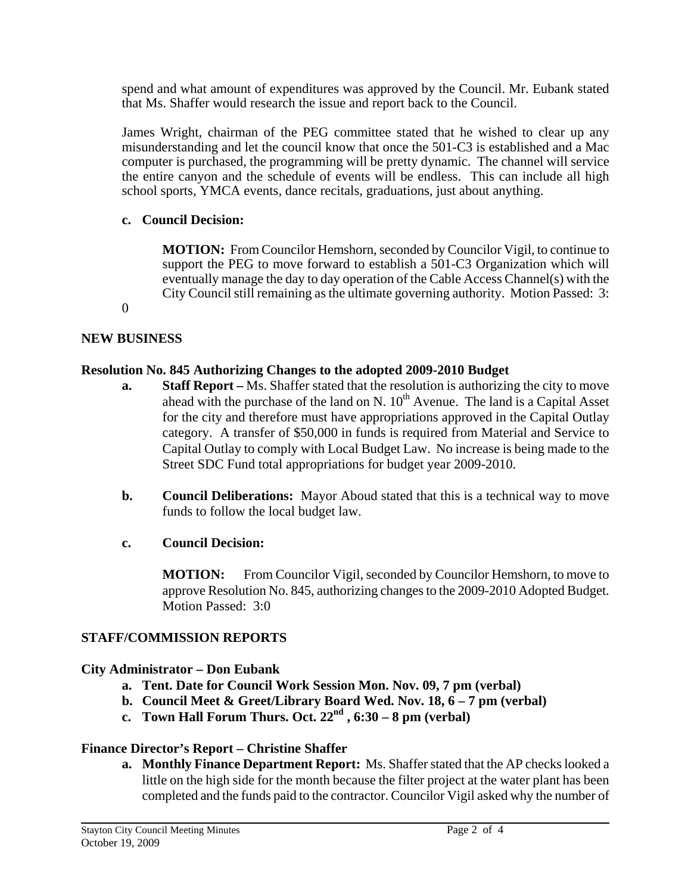spend and what amount of expenditures was approved by the Council. Mr. Eubank stated that Ms. Shaffer would research the issue and report back to the Council.

James Wright, chairman of the PEG committee stated that he wished to clear up any misunderstanding and let the council know that once the 501-C3 is established and a Mac computer is purchased, the programming will be pretty dynamic. The channel will service the entire canyon and the schedule of events will be endless. This can include all high school sports, YMCA events, dance recitals, graduations, just about anything.

## **c. Council Decision:**

 **MOTION:** From Councilor Hemshorn, seconded by Councilor Vigil, to continue to support the PEG to move forward to establish a 501-C3 Organization which will eventually manage the day to day operation of the Cable Access Channel(s) with the City Council still remaining as the ultimate governing authority. Motion Passed: 3:

0

## **NEW BUSINESS**

## **Resolution No. 845 Authorizing Changes to the adopted 2009-2010 Budget**

- **a. Staff Report** Ms. Shaffer stated that the resolution is authorizing the city to move ahead with the purchase of the land on N.  $10^{th}$  Avenue. The land is a Capital Asset for the city and therefore must have appropriations approved in the Capital Outlay category. A transfer of \$50,000 in funds is required from Material and Service to Capital Outlay to comply with Local Budget Law. No increase is being made to the Street SDC Fund total appropriations for budget year 2009-2010.
- **b. Council Deliberations:** Mayor Aboud stated that this is a technical way to move funds to follow the local budget law.

## **c. Council Decision:**

**MOTION:** From Councilor Vigil, seconded by Councilor Hemshorn, to move to approve Resolution No. 845, authorizing changes to the 2009-2010 Adopted Budget. Motion Passed: 3:0

## **STAFF/COMMISSION REPORTS**

## **City Administrator – Don Eubank**

- **a. Tent. Date for Council Work Session Mon. Nov. 09, 7 pm (verbal)**
- **b. Council Meet & Greet/Library Board Wed. Nov. 18, 6 7 pm (verbal)**
- **c. Town Hall Forum Thurs. Oct.**  $22<sup>nd</sup>$ ,  $6:30-8$  pm (verbal)

## **Finance Director's Report – Christine Shaffer**

**a. Monthly Finance Department Report:** Ms. Shaffer stated that the AP checks looked a little on the high side for the month because the filter project at the water plant has been completed and the funds paid to the contractor. Councilor Vigil asked why the number of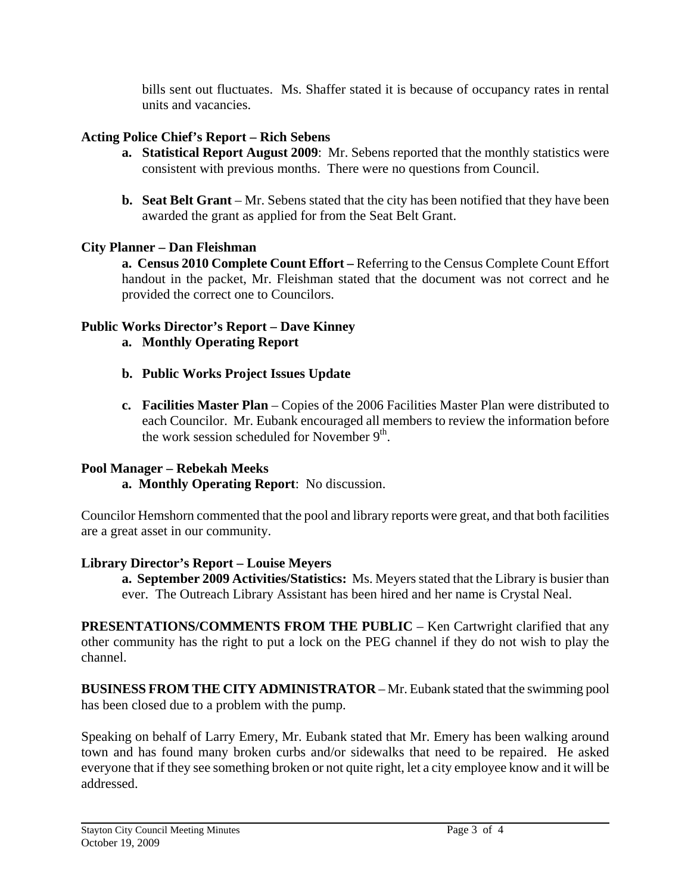bills sent out fluctuates. Ms. Shaffer stated it is because of occupancy rates in rental units and vacancies.

# **Acting Police Chief's Report – Rich Sebens**

- **a. Statistical Report August 2009**: Mr. Sebens reported that the monthly statistics were consistent with previous months. There were no questions from Council.
- **b.** Seat Belt Grant Mr. Sebens stated that the city has been notified that they have been awarded the grant as applied for from the Seat Belt Grant.

# **City Planner – Dan Fleishman**

 **a. Census 2010 Complete Count Effort –** Referring to the Census Complete Count Effort handout in the packet, Mr. Fleishman stated that the document was not correct and he provided the correct one to Councilors.

# **Public Works Director's Report – Dave Kinney**

- **a. Monthly Operating Report**
- **b. Public Works Project Issues Update**
- **c. Facilities Master Plan**  Copies of the 2006 Facilities Master Plan were distributed to each Councilor. Mr. Eubank encouraged all members to review the information before the work session scheduled for November  $9<sup>th</sup>$ .

# **Pool Manager – Rebekah Meeks**

 **a. Monthly Operating Report**: No discussion.

Councilor Hemshorn commented that the pool and library reports were great, and that both facilities are a great asset in our community.

# **Library Director's Report – Louise Meyers**

 **a. September 2009 Activities/Statistics:** Ms. Meyers stated that the Library is busier than ever. The Outreach Library Assistant has been hired and her name is Crystal Neal.

**PRESENTATIONS/COMMENTS FROM THE PUBLIC** – Ken Cartwright clarified that any other community has the right to put a lock on the PEG channel if they do not wish to play the channel.

**BUSINESS FROM THE CITY ADMINISTRATOR** – Mr. Eubank stated that the swimming pool has been closed due to a problem with the pump.

Speaking on behalf of Larry Emery, Mr. Eubank stated that Mr. Emery has been walking around town and has found many broken curbs and/or sidewalks that need to be repaired. He asked everyone that if they see something broken or not quite right, let a city employee know and it will be addressed.